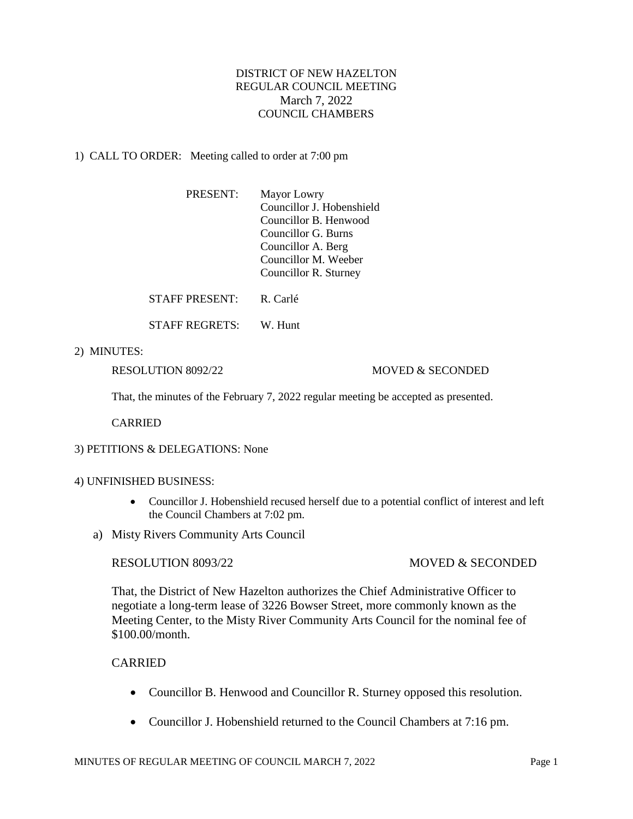# DISTRICT OF NEW HAZELTON REGULAR COUNCIL MEETING March 7, 2022 COUNCIL CHAMBERS

## 1) CALL TO ORDER: Meeting called to order at 7:00 pm

| <b>PRESENT:</b> | Mayor Lowry               |
|-----------------|---------------------------|
|                 | Councillor J. Hobenshield |
|                 | Councillor B. Henwood     |
|                 | Councillor G. Burns       |
|                 | Councillor A. Berg        |
|                 | Councillor M. Weeber      |
|                 | Councillor R. Sturney     |
|                 |                           |

STAFF PRESENT<sup>.</sup> R. Carlé

STAFF REGRETS: W. Hunt

2) MINUTES:

### RESOLUTION 8092/22 MOVED & SECONDED

That, the minutes of the February 7, 2022 regular meeting be accepted as presented.

CARRIED

3) PETITIONS & DELEGATIONS: None

#### 4) UNFINISHED BUSINESS:

- Councillor J. Hobenshield recused herself due to a potential conflict of interest and left the Council Chambers at 7:02 pm.
- a) Misty Rivers Community Arts Council

## RESOLUTION 8093/22 MOVED & SECONDED

That, the District of New Hazelton authorizes the Chief Administrative Officer to negotiate a long-term lease of 3226 Bowser Street, more commonly known as the Meeting Center, to the Misty River Community Arts Council for the nominal fee of \$100.00/month.

# CARRIED

- Councillor B. Henwood and Councillor R. Sturney opposed this resolution.
- Councillor J. Hobenshield returned to the Council Chambers at 7:16 pm.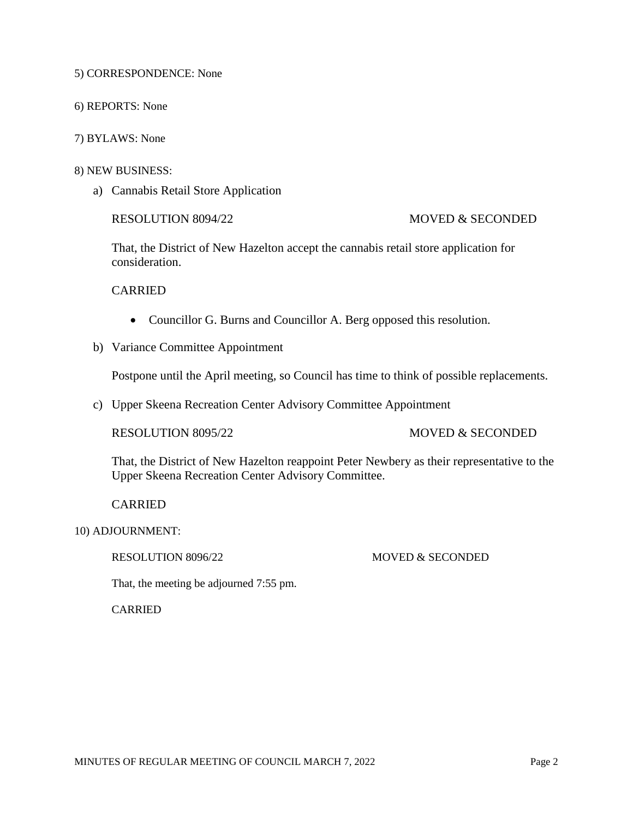5) CORRESPONDENCE: None

- 6) REPORTS: None
- 7) BYLAWS: None

#### 8) NEW BUSINESS:

a) Cannabis Retail Store Application

### RESOLUTION 8094/22 MOVED & SECONDED

That, the District of New Hazelton accept the cannabis retail store application for consideration.

CARRIED

- Councillor G. Burns and Councillor A. Berg opposed this resolution.
- b) Variance Committee Appointment

Postpone until the April meeting, so Council has time to think of possible replacements.

c) Upper Skeena Recreation Center Advisory Committee Appointment

## RESOLUTION 8095/22 MOVED & SECONDED

That, the District of New Hazelton reappoint Peter Newbery as their representative to the Upper Skeena Recreation Center Advisory Committee.

CARRIED

## RESOLUTION 8096/22 MOVED & SECONDED

That, the meeting be adjourned 7:55 pm.

CARRIED

<sup>10)</sup> ADJOURNMENT: